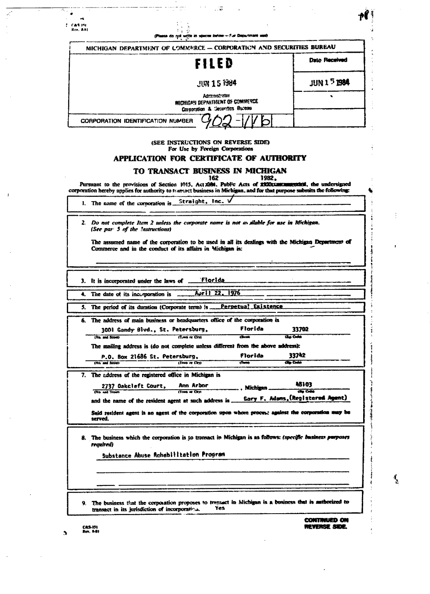| Rev. A.kt        | (Please do not write in openie below -- Fue Department use)                                                                                                                                                                             |                  |                                                       |
|------------------|-----------------------------------------------------------------------------------------------------------------------------------------------------------------------------------------------------------------------------------------|------------------|-------------------------------------------------------|
|                  | MICHIGAN DEPARTMENT OF COMMERCE - CORPORATION AND SECURITIES BUREAU                                                                                                                                                                     |                  |                                                       |
|                  | FILED                                                                                                                                                                                                                                   |                  | <b>Date Received</b>                                  |
|                  | <b>JUN 15 1984</b>                                                                                                                                                                                                                      |                  | $JUN15$ 1984                                          |
|                  | Administrator<br>MICHIGAN DEPARTMENT OF COMMERCE<br>Corporation & Securities Bureau                                                                                                                                                     |                  |                                                       |
|                  | CORPORATION IDENTIFICATION NUMBER                                                                                                                                                                                                       |                  |                                                       |
|                  | (SEE INSTRUCTIONS ON REVERSE SIDE)                                                                                                                                                                                                      |                  |                                                       |
|                  | For Use by Foreign Corporations<br>APPLICATION FOR CERTIFICATE OF AUTHORITY                                                                                                                                                             |                  |                                                       |
|                  | TO TRANSACT BUSINESS IN MICHIGAN                                                                                                                                                                                                        |                  |                                                       |
|                  | 162<br>Pursuant to the provisions of Section 1015, Act 2004. Public Acts of XXX2xxmmmmmthell, the undersigned<br>corporation hereby applies for authority to transact business in Michigan, and for that purpose submits the following: | 1982,            |                                                       |
|                  | 1. The name of the corporation is $\frac{\text{Stringht}}{\text{Stringht}}$ , Inc. $\sqrt{ }$                                                                                                                                           |                  |                                                       |
|                  | 2. Do not complete Item 2 unless the corporate name is not as silable for use in Michigan.                                                                                                                                              |                  |                                                       |
|                  | (See par 5 of the Instructions)                                                                                                                                                                                                         |                  |                                                       |
|                  | The assumed name of the corporation to be used in all its dealings with the Michigan Department of<br>Commerce and in the conduct of its affairs in Michigan is:                                                                        |                  |                                                       |
|                  |                                                                                                                                                                                                                                         |                  |                                                       |
|                  |                                                                                                                                                                                                                                         |                  |                                                       |
|                  | 3. It is incorporated under the laws of ___Florida                                                                                                                                                                                      |                  |                                                       |
|                  | 4. The date of its incorporation is ______ April 22. 1976                                                                                                                                                                               |                  |                                                       |
|                  |                                                                                                                                                                                                                                         |                  |                                                       |
|                  | 5. The period of its duration (Corporate term) is ___ Perpetual Existence                                                                                                                                                               |                  |                                                       |
| 6.               | The address of main business or headquarters office of the corporation is                                                                                                                                                               |                  |                                                       |
|                  | 3001 Gandy Blvd., St. Petersburg,                                                                                                                                                                                                       | Florida<br>4Same | 33702<br><b>Che Culm</b>                              |
| (No. and Straw)  | ITunes or City)<br>The mailing address is (do not complete unless different from the above address):                                                                                                                                    |                  |                                                       |
|                  | P.O. Box 21686 St. Petersburg,                                                                                                                                                                                                          | Florida          | 33742                                                 |
| (No. and Street) | (Town or City)                                                                                                                                                                                                                          | $5 - 1$          | <b>City Crafts</b>                                    |
|                  | 7. The address of the registered office in Michigan is                                                                                                                                                                                  |                  |                                                       |
|                  | Ann Arbor<br>2737 Oakcleft Court.                                                                                                                                                                                                       | Michigan.        | 48103                                                 |
| (No. and Street) | (Town or City)                                                                                                                                                                                                                          |                  | <b>Che Colui</b><br>Gary F. Adams, (Registered Agent) |
|                  | and the name of the resident agent at such address is                                                                                                                                                                                   |                  |                                                       |
|                  | Said resident agent is an agent of the corporation upon whom proons; against the corporation way be                                                                                                                                     |                  |                                                       |
|                  |                                                                                                                                                                                                                                         |                  |                                                       |
| served.          |                                                                                                                                                                                                                                         |                  |                                                       |
|                  |                                                                                                                                                                                                                                         |                  |                                                       |
| reguired)        | 8. The business which the corporation is to transact in Michigan is as follows: (specific business purposes                                                                                                                             |                  |                                                       |
|                  | Substance Abuse Rehabiiltation Program                                                                                                                                                                                                  |                  |                                                       |
|                  |                                                                                                                                                                                                                                         |                  |                                                       |
|                  |                                                                                                                                                                                                                                         |                  |                                                       |
|                  |                                                                                                                                                                                                                                         |                  |                                                       |
|                  |                                                                                                                                                                                                                                         |                  |                                                       |
| 9.               | The business that the corporation proposes to transact in Michigan is a business that is authorized to<br>Yes                                                                                                                           |                  |                                                       |
|                  | transact in its jurisdiction of incorporation.                                                                                                                                                                                          |                  |                                                       |

 $\frac{1}{2}$  .

 $\mathcal{F}^{(n)}$  .

 $\frac{1}{2}$ 

 $\mathcal{L}_{\mathcal{L}}$ 

 $\frac{1}{2}$ 

 $\frac{1}{\sqrt{2}}\left( \frac{1}{2}\right) ^{2}$ 

 $\frac{1}{\sqrt{2}}$ 

 $\label{eq:2.1} \frac{1}{\sqrt{2}}\sum_{i=1}^n\frac{1}{\sqrt{2}}\sum_{i=1}^n\frac{1}{\sqrt{2}}\sum_{i=1}^n\frac{1}{\sqrt{2}}\sum_{i=1}^n\frac{1}{\sqrt{2}}\sum_{i=1}^n\frac{1}{\sqrt{2}}\sum_{i=1}^n\frac{1}{\sqrt{2}}\sum_{i=1}^n\frac{1}{\sqrt{2}}\sum_{i=1}^n\frac{1}{\sqrt{2}}\sum_{i=1}^n\frac{1}{\sqrt{2}}\sum_{i=1}^n\frac{1}{\sqrt{2}}\sum_{i=1}^n\frac$ 

 $\mathcal{L}^{\text{max}}_{\text{max}}$  and  $\mathcal{L}^{\text{max}}_{\text{max}}$ 

 $\label{eq:2} \frac{1}{\sqrt{2}}\sum_{i=1}^n\frac{1}{\sqrt{2}}\sum_{j=1}^n\frac{1}{j} \sum_{j=1}^n\frac{1}{j} \sum_{j=1}^n\frac{1}{j} \sum_{j=1}^n\frac{1}{j} \sum_{j=1}^n\frac{1}{j} \sum_{j=1}^n\frac{1}{j} \sum_{j=1}^n\frac{1}{j} \sum_{j=1}^n\frac{1}{j} \sum_{j=1}^n\frac{1}{j} \sum_{j=1}^n\frac{1}{j} \sum_{j=1}^n\frac{1}{j} \sum_{j=1}^$ 

 $\label{eq:2.1} \frac{1}{\sqrt{2}}\int_{0}^{\infty}\frac{1}{\sqrt{2\pi}}\left(\frac{1}{\sqrt{2\pi}}\right)^{2\alpha}d\mu_{\alpha}^{2}d\mu_{\alpha}^{2}$ 

 $\overline{a}$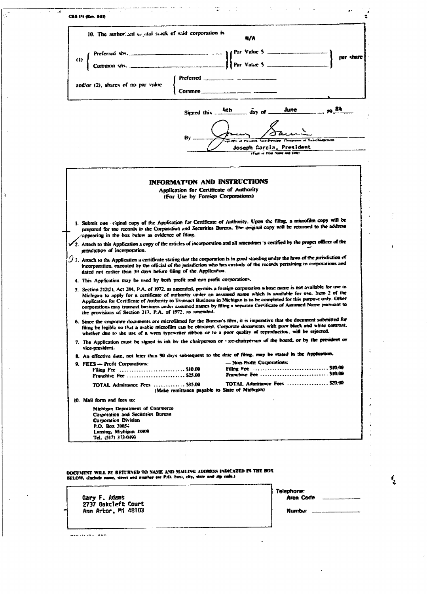|                                                                                                                                                  | 10. The authorized could stock of said corporation is<br>N/A                                                                                                                                                                                  |
|--------------------------------------------------------------------------------------------------------------------------------------------------|-----------------------------------------------------------------------------------------------------------------------------------------------------------------------------------------------------------------------------------------------|
|                                                                                                                                                  |                                                                                                                                                                                                                                               |
| (1)                                                                                                                                              | cer share                                                                                                                                                                                                                                     |
|                                                                                                                                                  |                                                                                                                                                                                                                                               |
|                                                                                                                                                  | Preferred                                                                                                                                                                                                                                     |
| and/or (2), shares of no par value                                                                                                               | Common                                                                                                                                                                                                                                        |
|                                                                                                                                                  |                                                                                                                                                                                                                                               |
|                                                                                                                                                  | <b>1984</b><br>4th<br>June<br>$\frac{1}{2}$ as $\frac{1}{2}$<br>Signed this _                                                                                                                                                                 |
|                                                                                                                                                  |                                                                                                                                                                                                                                               |
|                                                                                                                                                  |                                                                                                                                                                                                                                               |
|                                                                                                                                                  | Ηy<br>sensitive of President, Vice-President Chargement of Vice-Chargements                                                                                                                                                                   |
|                                                                                                                                                  | Joseph Garcia, President<br>(True or Prive Name and Title)                                                                                                                                                                                    |
|                                                                                                                                                  |                                                                                                                                                                                                                                               |
|                                                                                                                                                  |                                                                                                                                                                                                                                               |
|                                                                                                                                                  | <b>INFORMATION AND INSTRUCTIONS</b>                                                                                                                                                                                                           |
|                                                                                                                                                  | Application for Certificate of Authority                                                                                                                                                                                                      |
|                                                                                                                                                  | (For Use by Foreign Corporations)                                                                                                                                                                                                             |
|                                                                                                                                                  |                                                                                                                                                                                                                                               |
|                                                                                                                                                  | 1. Submit one riginal copy of the Application for Certificate of Authority. Upon the filing, a microfilm copy will be                                                                                                                         |
|                                                                                                                                                  | prepared for the records in the Corporation and Securities Bureau. The original copy will be returned to the address                                                                                                                          |
| appearing in the box befow as evidence of filing.                                                                                                | $\checkmark$ 2. Attach to this Application a copy of the articles of incorporation and all amendmer 's certified by the proper officer of the                                                                                                 |
| arisdiction of incorporation.                                                                                                                    |                                                                                                                                                                                                                                               |
|                                                                                                                                                  | $\mathcal I$ 3. Attach to the Application a certificate stating that the corporation is in good standing under the laws of the jurisdiction of                                                                                                |
| dated not earlier than 30 days before filing of the Application.                                                                                 | incorporation, executed by the official of the jurisdiction who has custody of the records pertaining to corporations and                                                                                                                     |
|                                                                                                                                                  | 4. This Application may be used by both profit and non profit corporations.                                                                                                                                                                   |
|                                                                                                                                                  | 5. Section 212(2), Act 284, P.A. of 1972, as amended, permits a foreign corporation whose name is not available for use in                                                                                                                    |
|                                                                                                                                                  | Michigan to apply for a certificate of authority under an assumed name which is available for twe. Item 2 of the<br>Application for Certificate of Authority to Transact Business in Michigan is to be completed for this purpose only. Other |
| the provisions of Section 217, P.A. of 1972, as amended.                                                                                         | corporations may transact business under assumed names by filing a separate Certificate of Assumed Name pursuant to                                                                                                                           |
|                                                                                                                                                  | 6. Since the corporate documents are microfilmed for the Bureau's files, it is imperative that the document submitted for                                                                                                                     |
|                                                                                                                                                  | filing be legible so that a usable microfilm can be obtained. Corporate documents with poor black and white contrast,<br>whether due to the use of a worn typewriter ribbon or to a poor quality of reproduction, will be rejected.           |
|                                                                                                                                                  | 7. The Application must be signed in ink by the chairperson or vice-chairperson of the board, or by the president or                                                                                                                          |
|                                                                                                                                                  |                                                                                                                                                                                                                                               |
| vice-president.                                                                                                                                  |                                                                                                                                                                                                                                               |
|                                                                                                                                                  | 8. An effective date, not later than 90 days subsequent to the date of filing, may be stated in the Application.                                                                                                                              |
| 9. FEES -- Profit Corporations:<br>Filing Fee  \$10.00                                                                                           | - Non-Profit Corporations:                                                                                                                                                                                                                    |
| Franchise Fee  \$25.00                                                                                                                           | Franchise Fee  \$10.00                                                                                                                                                                                                                        |
| TOTAL Admittance Fees  \$35.00                                                                                                                   | TOTAL Admittance Fees  \$20.60<br>(Make remittance payable to State of Michigan)                                                                                                                                                              |
| 10. Mail form and fees to:                                                                                                                       |                                                                                                                                                                                                                                               |
| Michigan Department of Commerce                                                                                                                  |                                                                                                                                                                                                                                               |
| Corporation and Securities Bureau<br><b>Corporation Division</b>                                                                                 |                                                                                                                                                                                                                                               |
| P.O. Box 30054                                                                                                                                   |                                                                                                                                                                                                                                               |
| Lansing, Michigan 48909<br>Tel. (517) 373-0493                                                                                                   |                                                                                                                                                                                                                                               |
|                                                                                                                                                  |                                                                                                                                                                                                                                               |
|                                                                                                                                                  |                                                                                                                                                                                                                                               |
|                                                                                                                                                  |                                                                                                                                                                                                                                               |
|                                                                                                                                                  | DOCUMENT WILL BE RETURNED TO NAME AND MAILING ADDRESS INDICATED IN THE BOX                                                                                                                                                                    |
|                                                                                                                                                  |                                                                                                                                                                                                                                               |
|                                                                                                                                                  | Telephane:                                                                                                                                                                                                                                    |
| SELOW, (Include name, street and number (or P.O. box), city, state and zip code.)<br>Gary F. Adams<br>2737 Oakcleft Court<br>Ann Arbor, Mi 48103 | Area Code                                                                                                                                                                                                                                     |

 $\hat{\mathcal{A}}$ 

iki imu casis

 $\frac{1}{2}$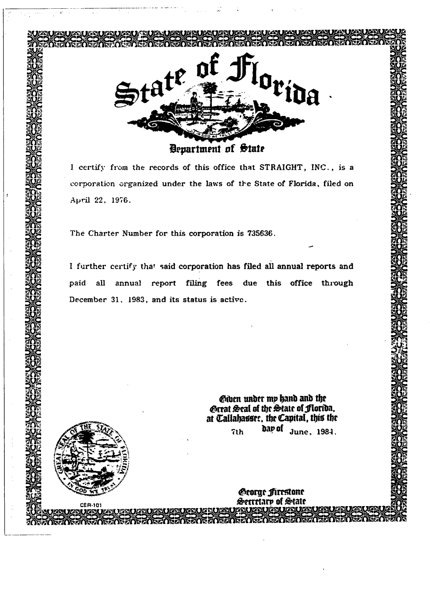

I certify from the records of this office that STRAIGHT, INC., is a corporation organized under the laws of the State of Florida, filed on April 22, 1976.

The Charter Number for this corporation is 735636.

I further certify that said corporation has filed all annual reports and paid all annual report filing fees due this office through December 31, 1983, and its status is active.

> Giben under my hand and the <£rtat &ral of tijr &tatt of jflori&a, at Callabassrt, tbr Capital, this thrdar of June, 1984. 7<sub>th</sub>

> > *George firestone* Serretare of State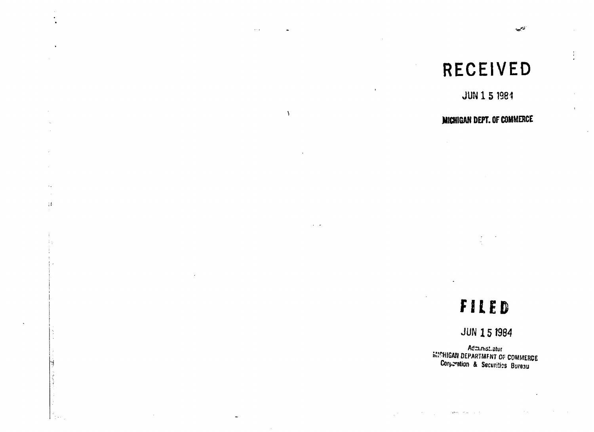## RECEIVED

 $\sim 100$   $\mu$ 

 $\sim$ 

 $\sim$  $\sim$  $\left\{ 3\right\}$ 

 $\gamma$  .

 $\rightarrow$ 

 $\sim$   $\sim$ 

أتحصير

÷

JUN 1 5 1984

 $\mathbf{r}$ 

### MICHIGAN DEPT. OF COMMERCE

# FILED

### **JUN 15 1984**

Administratur **MICHIGAN DEPARTMENT OF COMMERCE**<br>Corperation & Securities Bureau

أأحال المراقب للمورد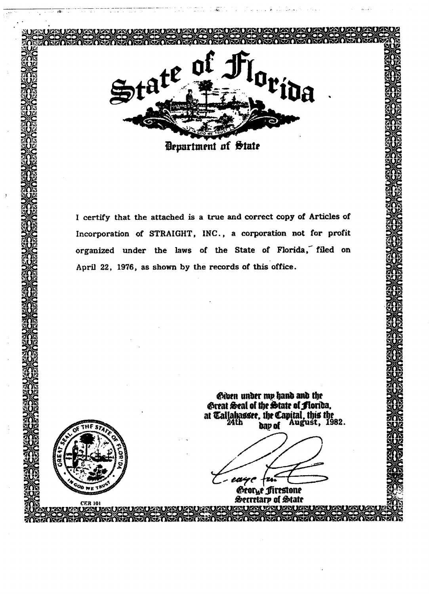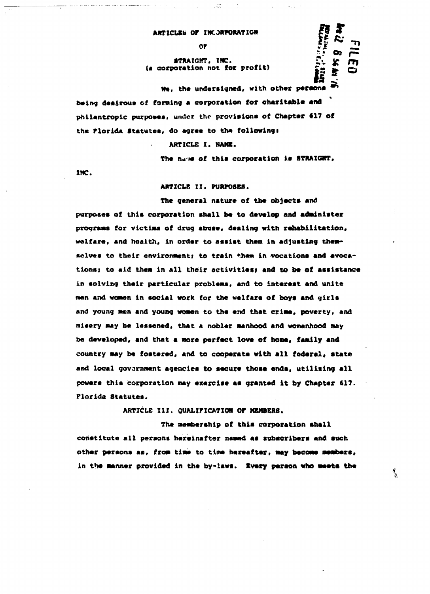#### ARTICLES OF INCORPORATION

0F

#### **STRAIGHT, INC.**  $\begin{bmatrix} x_1 \\ y_2 \\ z_3 \end{bmatrix}$   $\begin{bmatrix} x_1 \\ x_2 \\ x_3 \end{bmatrix}$  $(a$  corporation not for profit)

**We, the undersigned, with other persons •" being desirous of forning a corporation for charitable and** philantropic purposes, under the provisions of Chapter 617 of **the Florida Statutes, do agree to the followingi**

**ARTICLE I. HANI.**

**The na-ne of this corporation is STRAIGHT,**

 $\frac{f_2^*}{f_1^*}$  oo

بالمجا

**INC.**

**ARTICLE II. PURPOSES.**

**The general nature of the objects and purposes of this corporation shall be to develop and administer programs for victims of drug abuse, dealing with rehabilitation, welfare, and health, in order to assist then in adjusting them**selves to their environment; to train them in vocations and avoca**tions i to aid them in all their activities? and to be of assistance in solving their particular problems, and to interest and unite man and woman in social work for the welfare of boys and girls and young men and young women to the end that crime, poverty, and misery may be lessened, that a nobler manhood and womanhood may be developed, and that a more perfect love of home, family and country may be fostered, and to cooperate with all federal\* state and local government agencies to secure these ends, utilising ail powers this corporation may exercise as granted it by Chapter 617, Florida Statutes.**

**ARTICLE III. QUALIFICATION OP MEMBERS.**

**The membership of this corporation shall constitute all persons hereinafter named as subscribers and such other persons as, from time to time hereafter, may become members, in the manner provided in the by-laws. Ivery person who meets the**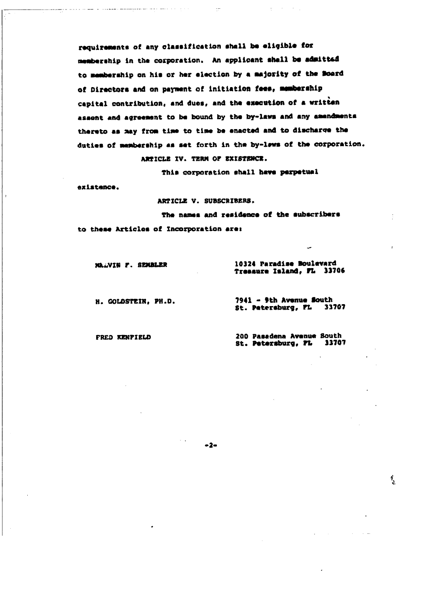requirements of any classification shall be eligible for membership in the corporation. An applicant shall be admitted to membership on his or her election by a majority of the Board of Directors and on payment of initiation fees, membership capital contribution, and dues, and the execution of a written assont and agreement to be bound by the by-laws and any amendments thereto as may from time to time be enacted and to discharge the duties of membership as set forth in the by-lews of the corporation. ARTICLE IV. TERM OF EXISTENCE.

This corporation shall have perpetual

existence.

ARTICLE V. SUBSCRIBERS.

The names and residence of the subscribers to these Articles of Incorporation are:

 $-2-$ 

MAAVIN F. SEMBLER

and the companion of the companion of the companion of the companion of the companion of the companion of the companion of the companion of the companion of the companion of the companion of the companion of the companion

10324 Paradise Boulevard Treasure Island, FL 33706

H. COLDSTEIN, PH.D.

7941 - 9th Avenue South St. Petersburg, FL 33707

FRED KENPIELD

200 Pasadena Avenue South St. Patersburg, FL 13707

ै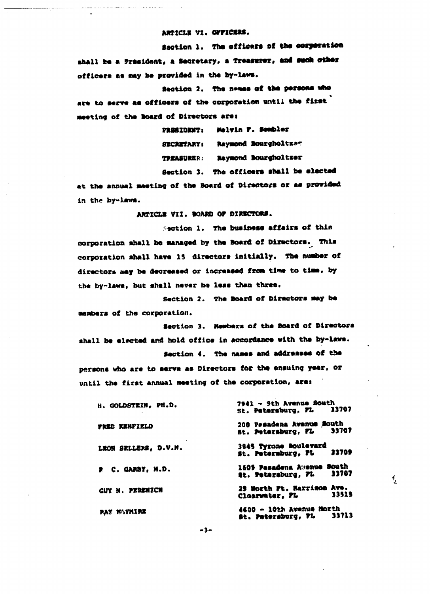ARTICLE VI. OFFICERS.

Saction 1. The officers of the corporation shall be a President, a Secretary, a Treasurer, and such other officers as may be provided in the by-laws.

Section 2. The names of the persons who are to serve as officers of the corporation until the first meeting of the Board of Directors are:

> PRESIDENT: Melvin F. Sembler SECRETARY: Raymond Bourgholtzer TREASURER: Raymond Bourgholtser Section 3. The officers shall be elected

at the annual meeting of the Board of Directors or as provided in the by-laws.

ARTICLE VII. BOARD OF DIRECTORS.

Section 1. The business affairs of this corporation shall be managed by the Board of Directors. This corporation shall have 15 directors initially. The number of directors may be decreased or increased from time to time, by the by-laws, but shall never be less than three.

Section 2. The Board of Directors may be members of the corporation.

Section 3. Members of the Board of Directors shall be elected and hold office in accordance with the by-laws.

Section 4. The names and addresses of the persons who are to serve as Directors for the ensuing year, or until the first annual meeting of the corporation, are:

| H. GOLDSTEIN, PH.D.  | 7941 - 9th Avenue South                                   |  |  |
|----------------------|-----------------------------------------------------------|--|--|
|                      | St. Petersburg, FL 13707                                  |  |  |
| FRED KENPIELD        | 200 Pesadena Avenue South<br>33707<br>st. Petersburg. FL  |  |  |
| LEON SELLERS, D.V.M. | 3845 Tyrone Boulevard<br>33709<br>st. Petersburg, FL      |  |  |
| R C. GARBY. M.D.     | 1609 Pasadena Awenue South<br>33707<br>Et. Petersburg, FL |  |  |
| GUY M. PERENICH      | 29 North Ft. Harrison Ave.<br>33515<br>Cloarwater, FL     |  |  |
| <b>PAY NAYMIRE</b>   | 4600 - 10th Avenue North<br>33713<br>St. Petersburg, FL   |  |  |

 $\frac{1}{2}$ 

 $-3-$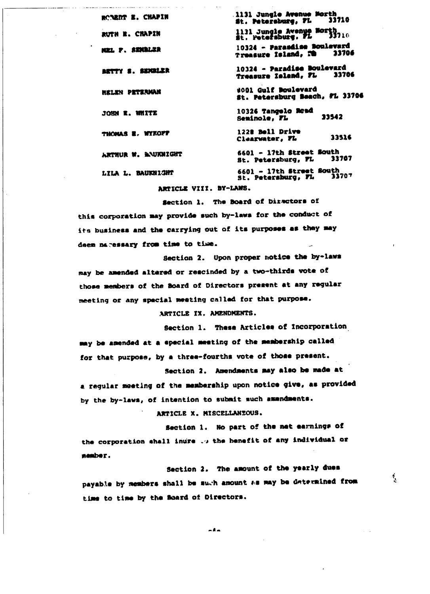1131 Jungle Avenue Morth ROBRAT E. CHAPIN 33710 St. Petersburg, FL 1131 Jungle Avenue Morth<br>St. Petersburg, FL 33710 RUTH R. CHAPIN 10324 - Parasdise Boulevard NEL P. STRALER 33706 Treasure Island, FB 10324 - Paradise Boulevard BETTY S. SENGLER 33706 Treasure Island, FL #001 Gulf Boulevard **NELEN PETERMAN** St. Petersburg Beach, FL 33706 10326 Tangelo Road JOHN R. WHITE 33542 Seminole, FL THOMAS E. WYKOFF 1228 Boll Drive 33516 Clearwater, FL 6601 - 17th Street South ARTHUR W. BAUKNIGHT 33707 St. Petersburg, FL 6601 - 17th Street South<br>St. Petersburg, FL 33 LILA L. BAUKNIGHT 33707

ARTICLE VIII. BY-LANS.

the complete complete the complete state of the state of the state of the state of the state of the state of the state of the state of the state of the state of the state of the state of the state of the state of the state

Section 1. The Board of Directors of this corporation may provide such by-laws for the conduct of its business and the carrying out of its purposes as they may deem naressary from time to time.

Section 2. Upon proper notice the by-laws may be amended altered or rescinded by a two-thirds vote of those members of the Board of Directors present at any regular meeting or any special meeting called for that purpose.

ARTICLE IX. AMENDMENTS.

Section 1. These Articles of Incorporation may be amended at a special meeting of the membership called for that purpose, by a three-fourths vote of those present.

Section 2. Amendments may also be made at a regular meeting of the membership upon notice give, as provided by the by-laws, of intention to submit such amendments.

ARTICLE X. MISCELLANZOUS.

Section 1. No part of the met earnings of the corporation shall inure ... the henefit of any individual or nember.

Section 2. The amount of the yearly dues payable by members shall be such amount as may be determined from time to time by the Board of Directors.

ै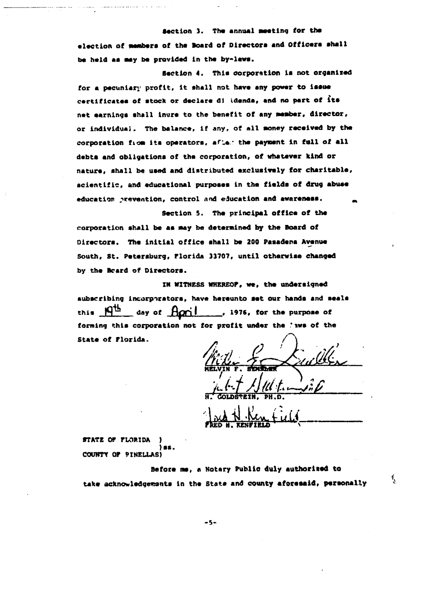**Section 3. The annual Meeting for the** election of members of the Board of Directors and Officers shall be held as may be provided in the by-laws.

**Section 4. This corporation is not organised for a pecuniary profit, it shall not have any power to issue** certificates of stock or declare di idenda, and no part of its net earnings shall inure to the benefit of any member, director, **or individual. The balance, if any, of all Money received by the** corporation fiom its operators, after the payment in full of all debts and obligations of the corporation, of whatever kind or nature, shall be used and distributed exclusively for charitable, acientific, and educational purposes in the fields of drug abuse education prevention, control and education and awareness.

**Section 5. The principal office of the corporation shall be as May be determined by the Board of Directors. The initial office shall be 200 Pasadena Avenue South, St. Petersburg, Florida 33707, until otherwise changed** by the Board of Directors.

**in WITNESS WHEREOF, we, the undersigned** subscribing incorporators, have hereunto set our hands and seals this  $\frac{q^{th}}{t}$  day of  $\frac{f(q^{th})}{t}$ , 1976, for the purpose of **forming this corporation not for profit under the \*iws of the State of Florida. /**

**GOLDSTEIN, PH.D.**

FRED H. KENFIKLD

**<sup>i</sup>'**

**STATE OF FLORIDA ) COtmTY OF 9IKEIXAS}**

**Before ne, « Notary Public duly authorited to** take acknowledgements in the State and county aforesaid, personally

 $-5-$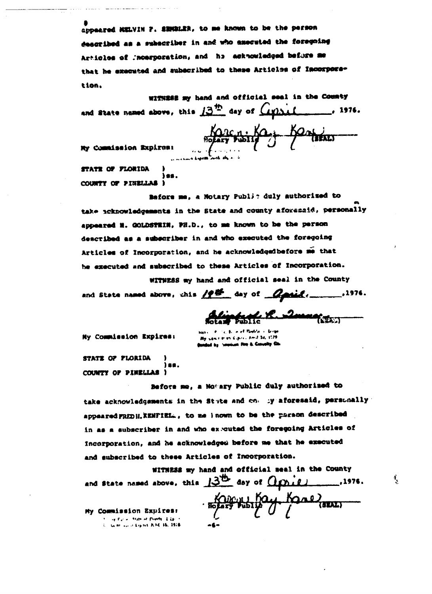appeared MELVIN 7. SEMBLER, to me known to be the person described as a subscriber in and who executed the foregoing Articles of Incerporation, and he acknowledged before me that he executed and subscribed to these Articles of Incorporation.

withing my hand and official seal in the County 

Karensing Bank

My Commission Expires: STATE OF FLORIDA

COUNTY OF PINELLAL I

Before me, a Notary Public duly authorized to take acknowledgements in the State and county aforesaid, personally appeared M. GOLDSTEIN, PH.D., to me known to be the person described as a subscriber in and who executed the foregoing Articles of Incorporation, and he acknowledgedbefore me that he executed and subscribed to these Articles of Incorporation.

WITNESS my hand and official seal in the County and State named above, chis  $/2^{\frac{N}{2N}}$  day of  $Q$  and  $($ 

Alintario R. 2march

 $\frac{1}{2}$ 

Ny Commission Expires:

ischen Kalin i Amit bij 3078 **Sunded by Session For & Conveity Co.** 

STATE OF FLORIDA iaa. COUNTY OF PINELLAS )

Before me, a Notary Public duly authorized to take acknowledgements in the Stute and one by aforesaid, persunally appeared FRED H. KENFIEL., to me known to be the paraon described in as a subscriber in and who ex-cuted the foregoing Articles of incorporation, and he acknowledged before me that he executed and subscribed to these Articles of Incorporation.

WITHESS my hand and official seal in the County and state named above, this  $13^{16}$  day of  $0$   $0^{12}$  $...$ , 1976. Both History Kane My Commission Expires: **Superior and the second of the in-**U. Gent auf it Algeba R.NE 16, 1978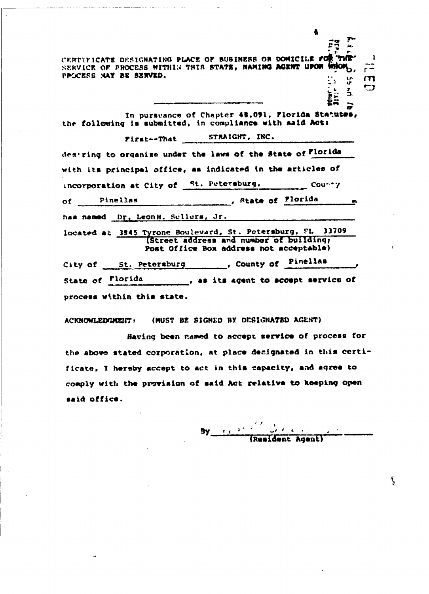CERTIFICATE DESIGNATING PLACE OF BUBINESS OR DOMICILE FOR THE SERVICE OF PROCESS WITHIN THIS STATE, NAMING AGENT UPON WHOM PPSCESS NAY BE SERVED.  $\frac{1}{2}$ E S

In purswance of Chapter 48.091, Florida Statutes, the following is submitted, in compliance with maid Act:

First--That STRAIGHT, INC. destring to organize under the laws of the State of Florida with its principal office, as indicated in the articles of incorporation at City of St. Petersburg. County state of Plorida Pinellas  $\circ$ f  $\qquad$ ø, has named Dr. LeonH. Sellurs, Jr. located at 3845 Tyrone Boulevard, St. Petersburg, FL 33709 (Street address and number of building;

Post Office Box address not acceptable) City of St. Petersburg . County of Pinellas State of Florida process within this state.

ACKNOWLEDGMENT : (MUST BE SIGNED BY DESIGNATED AGENT)

Baving been named to accept service of process for the above stated corporation, at place decignated in this certificate, I hereby accept to act in this capacity, and agree to comply with the provision of said Act relative to keeping open said office.

By  $\frac{1}{2}$   $\frac{1}{2}$ (Resident Agent)

 $\vec{r}$ 9

Īr Żñ m

m,

4.

 $\frac{2}{3}$ 

 $\overline{a}$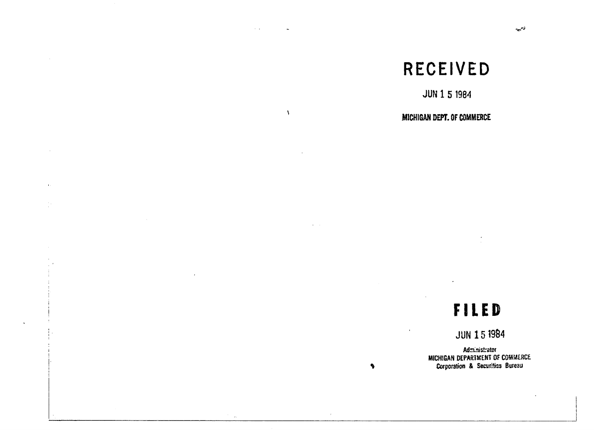### RECEIVED

JUN 1 5 1984

#### MICHIGAN DEPT. OF COMMERCE

 $\lambda$ 

 $\mathbf{r}$ 

### **FILED**

JUN 151984

Administrator MICHIGAN DEPARTMENT Of COMM£HC£Corporation & Securitiss Bureau

 $\bullet$